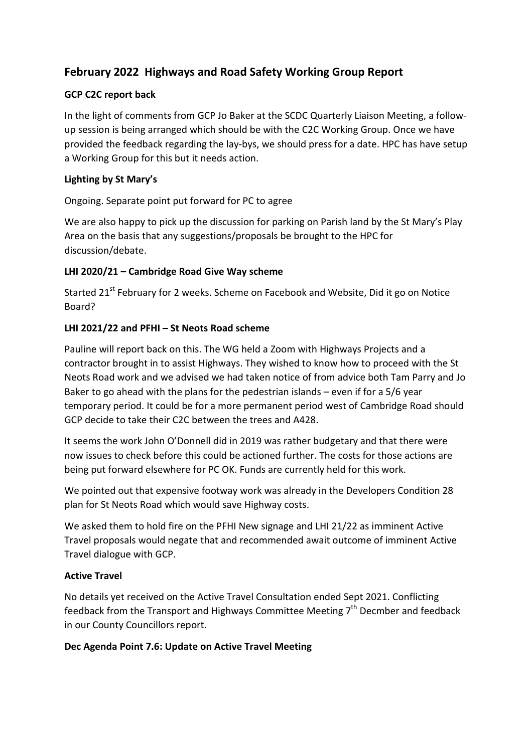# **February 2022 Highways and Road Safety Working Group Report**

# **GCP C2C report back**

In the light of comments from GCP Jo Baker at the SCDC Quarterly Liaison Meeting, a followup session is being arranged which should be with the C2C Working Group. Once we have provided the feedback regarding the lay-bys, we should press for a date. HPC has have setup a Working Group for this but it needs action.

## **Lighting by St Mary's**

Ongoing. Separate point put forward for PC to agree

We are also happy to pick up the discussion for parking on Parish land by the St Mary's Play Area on the basis that any suggestions/proposals be brought to the HPC for discussion/debate.

# **LHI 2020/21 – Cambridge Road Give Way scheme**

Started 21<sup>st</sup> February for 2 weeks. Scheme on Facebook and Website, Did it go on Notice Board?

# **LHI 2021/22 and PFHI – St Neots Road scheme**

Pauline will report back on this. The WG held a Zoom with Highways Projects and a contractor brought in to assist Highways. They wished to know how to proceed with the St Neots Road work and we advised we had taken notice of from advice both Tam Parry and Jo Baker to go ahead with the plans for the pedestrian islands – even if for a 5/6 year temporary period. It could be for a more permanent period west of Cambridge Road should GCP decide to take their C2C between the trees and A428.

It seems the work John O'Donnell did in 2019 was rather budgetary and that there were now issues to check before this could be actioned further. The costs for those actions are being put forward elsewhere for PC OK. Funds are currently held for this work.

We pointed out that expensive footway work was already in the Developers Condition 28 plan for St Neots Road which would save Highway costs.

We asked them to hold fire on the PFHI New signage and LHI 21/22 as imminent Active Travel proposals would negate that and recommended await outcome of imminent Active Travel dialogue with GCP.

## **Active Travel**

No details yet received on the Active Travel Consultation ended Sept 2021. Conflicting feedback from the Transport and Highways Committee Meeting  $7<sup>th</sup>$  Decmber and feedback in our County Councillors report.

## **Dec Agenda Point 7.6: Update on Active Travel Meeting**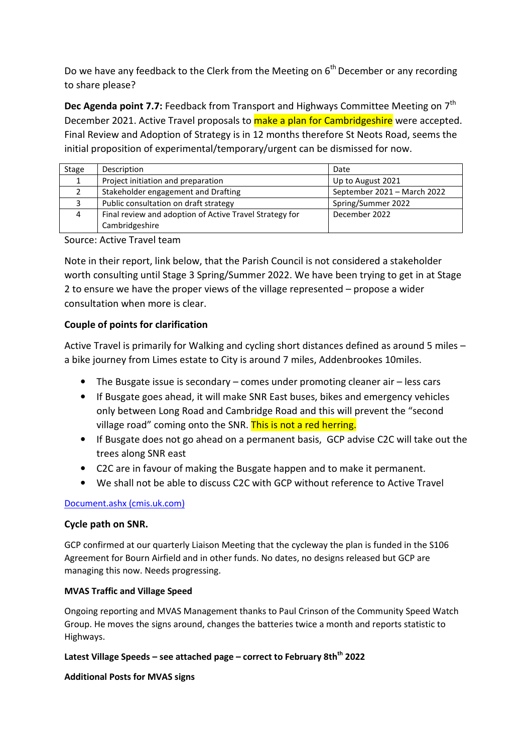Do we have any feedback to the Clerk from the Meeting on  $6<sup>th</sup>$  December or any recording to share please?

**Dec Agenda point 7.7:** Feedback from Transport and Highways Committee Meeting on 7<sup>th</sup> December 2021. Active Travel proposals to make a plan for Cambridgeshire were accepted. Final Review and Adoption of Strategy is in 12 months therefore St Neots Road, seems the initial proposition of experimental/temporary/urgent can be dismissed for now.

| <b>Stage</b> | Description                                             | Date                        |
|--------------|---------------------------------------------------------|-----------------------------|
|              | Project initiation and preparation                      | Up to August 2021           |
|              | Stakeholder engagement and Drafting                     | September 2021 - March 2022 |
|              | Public consultation on draft strategy                   | Spring/Summer 2022          |
|              | Final review and adoption of Active Travel Strategy for | December 2022               |
|              | Cambridgeshire                                          |                             |

Source: Active Travel team

Note in their report, link below, that the Parish Council is not considered a stakeholder worth consulting until Stage 3 Spring/Summer 2022. We have been trying to get in at Stage 2 to ensure we have the proper views of the village represented – propose a wider consultation when more is clear.

## **Couple of points for clarification**

Active Travel is primarily for Walking and cycling short distances defined as around 5 miles – a bike journey from Limes estate to City is around 7 miles, Addenbrookes 10miles.

- The Busgate issue is secondary comes under promoting cleaner air less cars
- If Busgate goes ahead, it will make SNR East buses, bikes and emergency vehicles only between Long Road and Cambridge Road and this will prevent the "second village road" coming onto the SNR. This is not a red herring.
- If Busgate does not go ahead on a permanent basis, GCP advise C2C will take out the trees along SNR east
- C2C are in favour of making the Busgate happen and to make it permanent.
- We shall not be able to discuss C2C with GCP without reference to Active Travel

## Document.ashx (cmis.uk.com)

## **Cycle path on SNR.**

GCP confirmed at our quarterly Liaison Meeting that the cycleway the plan is funded in the S106 Agreement for Bourn Airfield and in other funds. No dates, no designs released but GCP are managing this now. Needs progressing.

#### **MVAS Traffic and Village Speed**

Ongoing reporting and MVAS Management thanks to Paul Crinson of the Community Speed Watch Group. He moves the signs around, changes the batteries twice a month and reports statistic to Highways.

## **Latest Village Speeds – see attached page – correct to February 8thth 2022**

**Additional Posts for MVAS signs**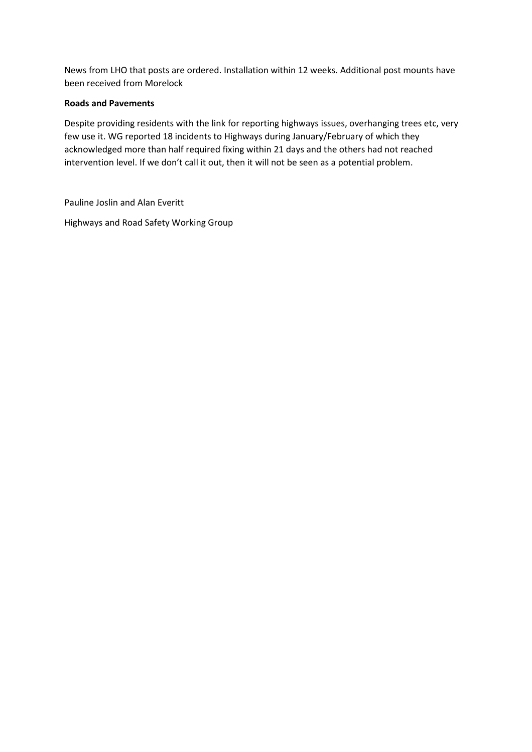News from LHO that posts are ordered. Installation within 12 weeks. Additional post mounts have been received from Morelock

#### **Roads and Pavements**

Despite providing residents with the link for reporting highways issues, overhanging trees etc, very few use it. WG reported 18 incidents to Highways during January/February of which they acknowledged more than half required fixing within 21 days and the others had not reached intervention level. If we don't call it out, then it will not be seen as a potential problem.

Pauline Joslin and Alan Everitt

Highways and Road Safety Working Group